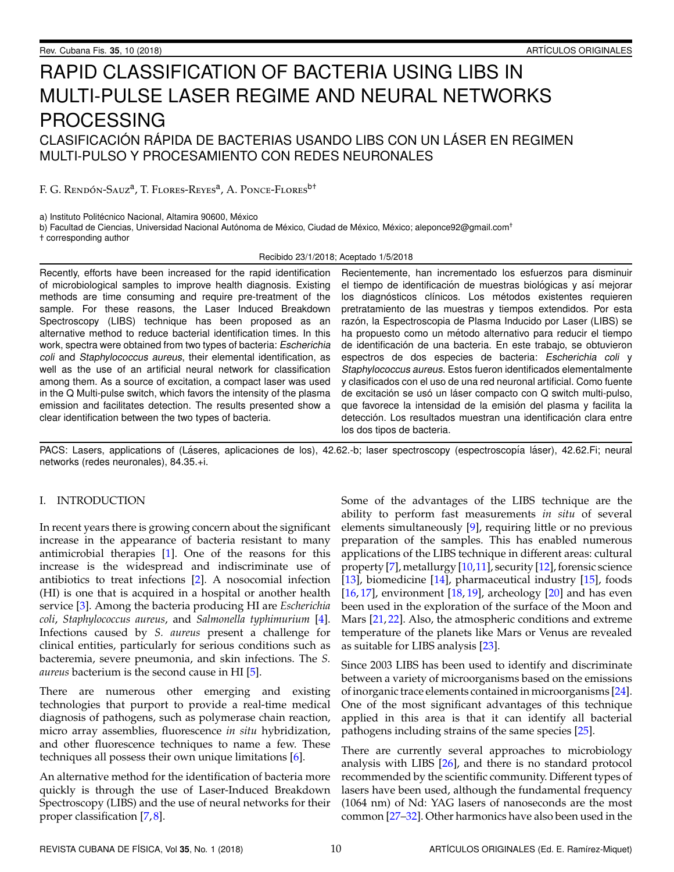# RAPID CLASSIFICATION OF BACTERIA USING LIBS IN MULTI-PULSE LASER REGIME AND NEURAL NETWORKS PROCESSING CLASIFICACIÓN RÁPIDA DE BACTERIAS USANDO LIBS CON UN LÁSER EN REGIMEN MULTI-PULSO Y PROCESAMIENTO CON REDES NEURONALES

F. G. Rendón-Sauz<sup>a</sup>, T. Flores-Reyes<sup>a</sup>, A. Ponce-Flores<sup>b†</sup>

a) Instituto Politécnico Nacional, Altamira 90600, México

b) Facultad de Ciencias, Universidad Nacional Autónoma de México, Ciudad de México, México; aleponce92@gmail.com<sup>+</sup> † corresponding author

Recibido 23/1/2018; Aceptado 1/5/2018

Recently, efforts have been increased for the rapid identification of microbiological samples to improve health diagnosis. Existing methods are time consuming and require pre-treatment of the sample. For these reasons, the Laser Induced Breakdown Spectroscopy (LIBS) technique has been proposed as an alternative method to reduce bacterial identification times. In this work, spectra were obtained from two types of bacteria: Escherichia coli and Staphylococcus aureus, their elemental identification, as well as the use of an artificial neural network for classification among them. As a source of excitation, a compact laser was used in the Q Multi-pulse switch, which favors the intensity of the plasma emission and facilitates detection. The results presented show a clear identification between the two types of bacteria.

Recientemente, han incrementado los esfuerzos para disminuir el tiempo de identificación de muestras biológicas y así mejorar los diagnósticos clínicos. Los métodos existentes requieren pretratamiento de las muestras y tiempos extendidos. Por esta razón, la Espectroscopia de Plasma Inducido por Laser (LIBS) se ha propuesto como un método alternativo para reducir el tiempo de identificación de una bacteria. En este trabajo, se obtuvieron espectros de dos especies de bacteria: Escherichia coli y Staphylococcus aureus. Estos fueron identificados elementalmente y clasificados con el uso de una red neuronal artificial. Como fuente de excitación se usó un láser compacto con Q switch multi-pulso, que favorece la intensidad de la emisión del plasma y facilita la detección. Los resultados muestran una identificación clara entre los dos tipos de bacteria.

PACS: Lasers, applications of (Láseres, aplicaciones de los), 42.62.-b; laser spectroscopy (espectroscopía láser), 42.62.Fi; neural networks (redes neuronales), 84.35.+i.

## I. INTRODUCTION

In recent years there is growing concern about the significant increase in the appearance of bacteria resistant to many antimicrobial therapies [\[1\]](#page-3-0). One of the reasons for this increase is the widespread and indiscriminate use of antibiotics to treat infections [\[2\]](#page-3-1). A nosocomial infection (HI) is one that is acquired in a hospital or another health service [\[3\]](#page-3-2). Among the bacteria producing HI are *Escherichia coli*, *Staphylococcus aureus*, and *Salmonella typhimurium* [\[4\]](#page-3-3). Infections caused by *S. aureus* present a challenge for clinical entities, particularly for serious conditions such as bacteremia, severe pneumonia, and skin infections. The *S. aureus* bacterium is the second cause in HI [\[5\]](#page-3-4).

There are numerous other emerging and existing technologies that purport to provide a real-time medical diagnosis of pathogens, such as polymerase chain reaction, micro array assemblies, fluorescence *in situ* hybridization, and other fluorescence techniques to name a few. These techniques all possess their own unique limitations [\[6\]](#page-3-5).

An alternative method for the identification of bacteria more quickly is through the use of Laser-Induced Breakdown Spectroscopy (LIBS) and the use of neural networks for their proper classification [\[7,](#page-3-6) [8\]](#page-3-7).

Some of the advantages of the LIBS technique are the ability to perform fast measurements *in situ* of several elements simultaneously [\[9\]](#page-3-8), requiring little or no previous preparation of the samples. This has enabled numerous applications of the LIBS technique in different areas: cultural property [\[7\]](#page-3-6), metallurgy [\[10,](#page-3-9)[11\]](#page-3-10), security [\[12\]](#page-3-11), forensic science [\[13\]](#page-3-12), biomedicine [\[14\]](#page-3-13), pharmaceutical industry [\[15\]](#page-3-14), foods  $[16, 17]$  $[16, 17]$  $[16, 17]$ , environment  $[18, 19]$  $[18, 19]$  $[18, 19]$ , archeology  $[20]$  and has even been used in the exploration of the surface of the Moon and Mars [\[21,](#page-4-4) [22\]](#page-4-5). Also, the atmospheric conditions and extreme temperature of the planets like Mars or Venus are revealed as suitable for LIBS analysis [\[23\]](#page-4-6).

Since 2003 LIBS has been used to identify and discriminate between a variety of microorganisms based on the emissions of inorganic trace elements contained in microorganisms [\[24\]](#page-4-7). One of the most significant advantages of this technique applied in this area is that it can identify all bacterial pathogens including strains of the same species [\[25\]](#page-4-8).

There are currently several approaches to microbiology analysis with LIBS [\[26\]](#page-4-9), and there is no standard protocol recommended by the scientific community. Different types of lasers have been used, although the fundamental frequency (1064 nm) of Nd: YAG lasers of nanoseconds are the most common [\[27](#page-4-10)[–32\]](#page-4-11). Other harmonics have also been used in the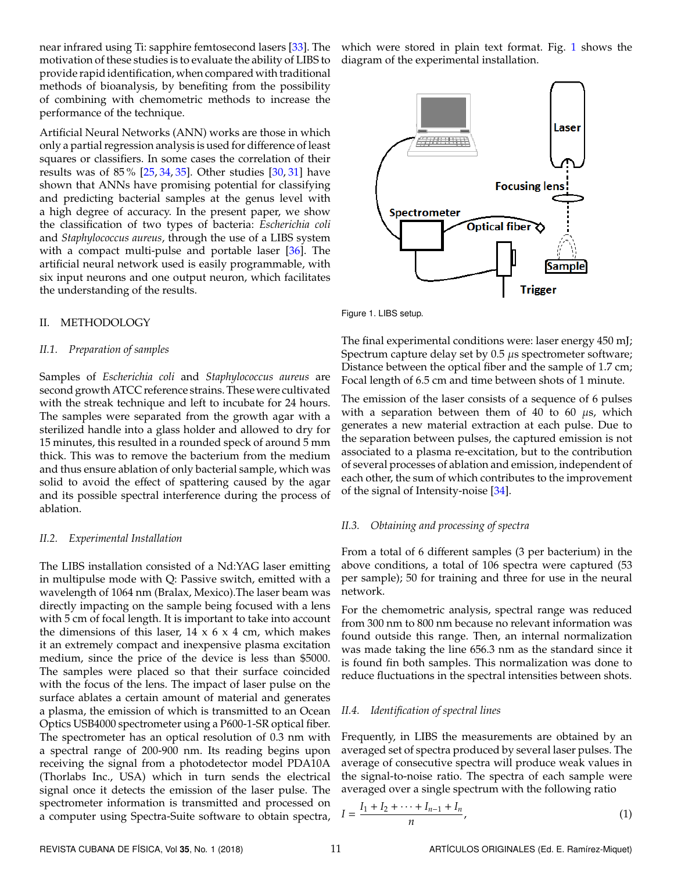near infrared using Ti: sapphire femtosecond lasers [\[33\]](#page-4-12). The motivation of these studies is to evaluate the ability of LIBS to provide rapid identification, when compared with traditional methods of bioanalysis, by benefiting from the possibility of combining with chemometric methods to increase the performance of the technique.

Artificial Neural Networks (ANN) works are those in which only a partial regression analysis is used for difference of least squares or classifiers. In some cases the correlation of their results was of 85 % [\[25,](#page-4-8) [34,](#page-4-13) [35\]](#page-4-14). Other studies [\[30,](#page-4-15) [31\]](#page-4-16) have shown that ANNs have promising potential for classifying and predicting bacterial samples at the genus level with a high degree of accuracy. In the present paper, we show the classification of two types of bacteria: *Escherichia coli* and *Staphylococcus aureus*, through the use of a LIBS system with a compact multi-pulse and portable laser [\[36\]](#page-4-17). The artificial neural network used is easily programmable, with six input neurons and one output neuron, which facilitates the understanding of the results.

#### II. METHODOLOGY

#### *II.1. Preparation of samples*

Samples of *Escherichia coli* and *Staphylococcus aureus* are second growth ATCC reference strains. These were cultivated with the streak technique and left to incubate for 24 hours. The samples were separated from the growth agar with a sterilized handle into a glass holder and allowed to dry for 15 minutes, this resulted in a rounded speck of around 5 mm thick. This was to remove the bacterium from the medium and thus ensure ablation of only bacterial sample, which was solid to avoid the effect of spattering caused by the agar and its possible spectral interference during the process of ablation.

#### *II.2. Experimental Installation*

The LIBS installation consisted of a Nd:YAG laser emitting in multipulse mode with Q: Passive switch, emitted with a wavelength of 1064 nm (Bralax, Mexico).The laser beam was directly impacting on the sample being focused with a lens with 5 cm of focal length. It is important to take into account the dimensions of this laser,  $14 \times 6 \times 4$  cm, which makes it an extremely compact and inexpensive plasma excitation medium, since the price of the device is less than \$5000. The samples were placed so that their surface coincided with the focus of the lens. The impact of laser pulse on the surface ablates a certain amount of material and generates a plasma, the emission of which is transmitted to an Ocean Optics USB4000 spectrometer using a P600-1-SR optical fiber. The spectrometer has an optical resolution of 0.3 nm with a spectral range of 200-900 nm. Its reading begins upon receiving the signal from a photodetector model PDA10A (Thorlabs Inc., USA) which in turn sends the electrical signal once it detects the emission of the laser pulse. The spectrometer information is transmitted and processed on a computer using Spectra-Suite software to obtain spectra,

which were stored in plain text format. Fig. [1](#page-1-0) shows the diagram of the experimental installation.

<span id="page-1-0"></span>

Figure 1. LIBS setup.

The final experimental conditions were: laser energy 450 mJ; Spectrum capture delay set by 0.5  $\mu$ s spectrometer software; Distance between the optical fiber and the sample of 1.7 cm; Focal length of 6.5 cm and time between shots of 1 minute.

The emission of the laser consists of a sequence of 6 pulses with a separation between them of 40 to 60  $\mu$ s, which generates a new material extraction at each pulse. Due to the separation between pulses, the captured emission is not associated to a plasma re-excitation, but to the contribution of several processes of ablation and emission, independent of each other, the sum of which contributes to the improvement of the signal of Intensity-noise [\[34\]](#page-4-13).

#### *II.3. Obtaining and processing of spectra*

From a total of 6 different samples (3 per bacterium) in the above conditions, a total of 106 spectra were captured (53 per sample); 50 for training and three for use in the neural network.

For the chemometric analysis, spectral range was reduced from 300 nm to 800 nm because no relevant information was found outside this range. Then, an internal normalization was made taking the line 656.3 nm as the standard since it is found fin both samples. This normalization was done to reduce fluctuations in the spectral intensities between shots.

#### *II.4. Identification of spectral lines*

Frequently, in LIBS the measurements are obtained by an averaged set of spectra produced by several laser pulses. The average of consecutive spectra will produce weak values in the signal-to-noise ratio. The spectra of each sample were averaged over a single spectrum with the following ratio

$$
I = \frac{I_1 + I_2 + \dots + I_{n-1} + I_n}{n},
$$
\n(1)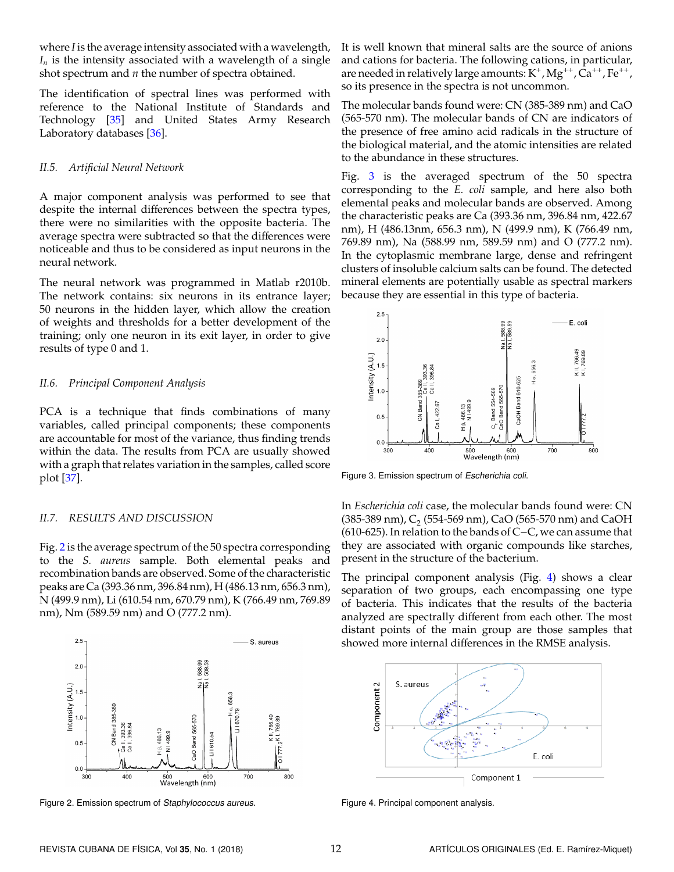where *I* is the average intensity associated with a wavelength,  $I_n$  is the intensity associated with a wavelength of a single shot spectrum and *n* the number of spectra obtained.

The identification of spectral lines was performed with reference to the National Institute of Standards and Technology [\[35\]](#page-4-14) and United States Army Research Laboratory databases [\[36\]](#page-4-17).

#### *II.5. Artificial Neural Network*

A major component analysis was performed to see that despite the internal differences between the spectra types, there were no similarities with the opposite bacteria. The average spectra were subtracted so that the differences were noticeable and thus to be considered as input neurons in the neural network.

The neural network was programmed in Matlab r2010b. The network contains: six neurons in its entrance layer; 50 neurons in the hidden layer, which allow the creation of weights and thresholds for a better development of the training; only one neuron in its exit layer, in order to give results of type 0 and 1.

#### *II.6. Principal Component Analysis*

PCA is a technique that finds combinations of many variables, called principal components; these components are accountable for most of the variance, thus finding trends within the data. The results from PCA are usually showed with a graph that relates variation in the samples, called score plot [\[37\]](#page-4-18).

### *II.7. RESULTS AND DISCUSSION*

Fig. [2](#page-2-0) is the average spectrum of the 50 spectra corresponding to the *S. aureus* sample. Both elemental peaks and recombination bands are observed. Some of the characteristic peaks are Ca (393.36 nm, 396.84 nm), H (486.13 nm, 656.3 nm), N (499.9 nm), Li (610.54 nm, 670.79 nm), K (766.49 nm, 769.89 nm), Nm (589.59 nm) and O (777.2 nm).

<span id="page-2-0"></span>

Figure 2. Emission spectrum of Staphylococcus aureus.

It is well known that mineral salts are the source of anions and cations for bacteria. The following cations, in particular, are needed in relatively large amounts:  $\mathrm{K}^+$ ,  $\mathrm{Mg}^{++}$ ,  $\mathrm{\bar{Ca}^{++}}$ ,  $\mathrm{Fe}^{++}$ , so its presence in the spectra is not uncommon.

The molecular bands found were: CN (385-389 nm) and CaO (565-570 nm). The molecular bands of CN are indicators of the presence of free amino acid radicals in the structure of the biological material, and the atomic intensities are related to the abundance in these structures.

Fig. [3](#page-2-1) is the averaged spectrum of the 50 spectra corresponding to the *E. coli* sample, and here also both elemental peaks and molecular bands are observed. Among the characteristic peaks are Ca (393.36 nm, 396.84 nm, 422.67 nm), H (486.13nm, 656.3 nm), N (499.9 nm), K (766.49 nm, 769.89 nm), Na (588.99 nm, 589.59 nm) and O (777.2 nm). In the cytoplasmic membrane large, dense and refringent clusters of insoluble calcium salts can be found. The detected mineral elements are potentially usable as spectral markers because they are essential in this type of bacteria.

<span id="page-2-1"></span>

Figure 3. Emission spectrum of Escherichia coli.

In *Escherichia coli* case, the molecular bands found were: CN (385-389 nm),  $\text{C}_\text{2}$  (554-569 nm), CaO (565-570 nm) and CaOH (610-625). In relation to the bands of C−C, we can assume that they are associated with organic compounds like starches, present in the structure of the bacterium.

The principal component analysis (Fig. [4\)](#page-2-2) shows a clear separation of two groups, each encompassing one type of bacteria. This indicates that the results of the bacteria analyzed are spectrally different from each other. The most distant points of the main group are those samples that showed more internal differences in the RMSE analysis.

<span id="page-2-2"></span>

Figure 4. Principal component analysis.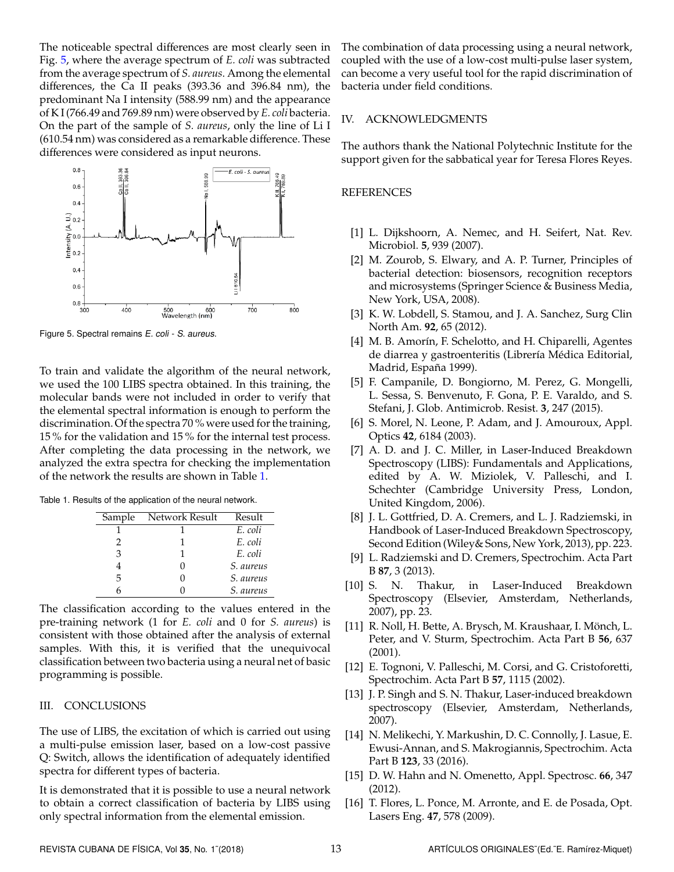The noticeable spectral differences are most clearly seen in Fig. [5,](#page-3-16) where the average spectrum of *E. coli* was subtracted from the average spectrum of *S. aureus*. Among the elemental differences, the Ca II peaks (393.36 and 396.84 nm), the predominant Na I intensity (588.99 nm) and the appearance of K I (766.49 and 769.89 nm) were observed by *E. coli* bacteria. On the part of the sample of *S. aureus*, only the line of Li I (610.54 nm) was considered as a remarkable difference. These differences were considered as input neurons.

<span id="page-3-16"></span>

Figure 5. Spectral remains E. coli - S. aureus.

To train and validate the algorithm of the neural network, we used the 100 LIBS spectra obtained. In this training, the molecular bands were not included in order to verify that the elemental spectral information is enough to perform the discrimination. Of the spectra 70 % were used for the training, 15 % for the validation and 15 % for the internal test process. After completing the data processing in the network, we analyzed the extra spectra for checking the implementation of the network the results are shown in Table [1.](#page-3-17)

<span id="page-3-17"></span>

|  | Table 1. Results of the application of the neural network. |  |  |
|--|------------------------------------------------------------|--|--|
|  |                                                            |  |  |

| Sample | Network Result | Result    |
|--------|----------------|-----------|
|        |                | E. coli   |
| 2      |                | E. coli   |
| 3      |                | E. coli   |
|        |                | S. aureus |
| 5      |                | S. aureus |
|        |                | S. aureus |

The classification according to the values entered in the pre-training network (1 for *E. coli* and 0 for *S. aureus*) is consistent with those obtained after the analysis of external samples. With this, it is verified that the unequivocal classification between two bacteria using a neural net of basic programming is possible.

### III. CONCLUSIONS

The use of LIBS, the excitation of which is carried out using a multi-pulse emission laser, based on a low-cost passive Q: Switch, allows the identification of adequately identified spectra for different types of bacteria.

It is demonstrated that it is possible to use a neural network to obtain a correct classification of bacteria by LIBS using only spectral information from the elemental emission.

The combination of data processing using a neural network, coupled with the use of a low-cost multi-pulse laser system, can become a very useful tool for the rapid discrimination of bacteria under field conditions.

#### IV. ACKNOWLEDGMENTS

The authors thank the National Polytechnic Institute for the support given for the sabbatical year for Teresa Flores Reyes.

### **REFERENCES**

- <span id="page-3-0"></span>[1] L. Dijkshoorn, A. Nemec, and H. Seifert, Nat. Rev. Microbiol. **5**, 939 (2007).
- <span id="page-3-1"></span>[2] M. Zourob, S. Elwary, and A. P. Turner, Principles of bacterial detection: biosensors, recognition receptors and microsystems (Springer Science & Business Media, New York, USA, 2008).
- <span id="page-3-2"></span>[3] K. W. Lobdell, S. Stamou, and J. A. Sanchez, Surg Clin North Am. **92**, 65 (2012).
- <span id="page-3-3"></span>[4] M. B. Amorín, F. Schelotto, and H. Chiparelli, Agentes de diarrea y gastroenteritis (Librería Médica Editorial, Madrid, España 1999).
- <span id="page-3-4"></span>[5] F. Campanile, D. Bongiorno, M. Perez, G. Mongelli, L. Sessa, S. Benvenuto, F. Gona, P. E. Varaldo, and S. Stefani, J. Glob. Antimicrob. Resist. **3**, 247 (2015).
- <span id="page-3-5"></span>[6] S. Morel, N. Leone, P. Adam, and J. Amouroux, Appl. Optics **42**, 6184 (2003).
- <span id="page-3-6"></span>[7] A. D. and J. C. Miller, in Laser-Induced Breakdown Spectroscopy (LIBS): Fundamentals and Applications, edited by A. W. Miziolek, V. Palleschi, and I. Schechter (Cambridge University Press, London, United Kingdom, 2006).
- <span id="page-3-7"></span>[8] J. L. Gottfried, D. A. Cremers, and L. J. Radziemski, in Handbook of Laser-Induced Breakdown Spectroscopy, Second Edition (Wiley& Sons, New York, 2013), pp. 223.
- <span id="page-3-8"></span>[9] L. Radziemski and D. Cremers, Spectrochim. Acta Part B **87**, 3 (2013).
- <span id="page-3-9"></span>[10] S. N. Thakur, in Laser-Induced Breakdown Spectroscopy (Elsevier, Amsterdam, Netherlands, 2007), pp. 23.
- <span id="page-3-10"></span>[11] R. Noll, H. Bette, A. Brysch, M. Kraushaar, I. Mönch, L. Peter, and V. Sturm, Spectrochim. Acta Part B **56**, 637 (2001).
- <span id="page-3-11"></span>[12] E. Tognoni, V. Palleschi, M. Corsi, and G. Cristoforetti, Spectrochim. Acta Part B **57**, 1115 (2002).
- <span id="page-3-12"></span>[13] J. P. Singh and S. N. Thakur, Laser-induced breakdown spectroscopy (Elsevier, Amsterdam, Netherlands, 2007).
- <span id="page-3-13"></span>[14] N. Melikechi, Y. Markushin, D. C. Connolly, J. Lasue, E. Ewusi-Annan, and S. Makrogiannis, Spectrochim. Acta Part B **123**, 33 (2016).
- <span id="page-3-14"></span>[15] D. W. Hahn and N. Omenetto, Appl. Spectrosc. **66**, 347 (2012).
- <span id="page-3-15"></span>[16] T. Flores, L. Ponce, M. Arronte, and E. de Posada, Opt. Lasers Eng. **47**, 578 (2009).